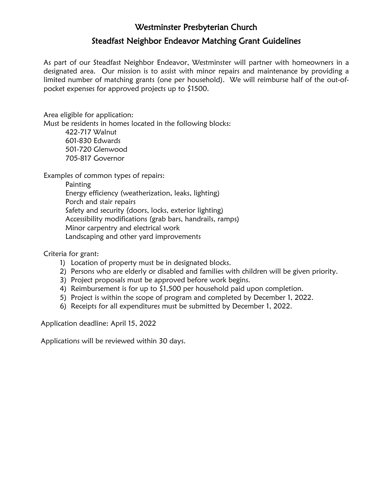## Westminster Presbyterian Church Steadfast Neighbor Endeavor Matching Grant Guidelines

As part of our Steadfast Neighbor Endeavor, Westminster will partner with homeowners in a designated area. Our mission is to assist with minor repairs and maintenance by providing a limited number of matching grants (one per household). We will reimburse half of the out-ofpocket expenses for approved projects up to \$1500.

Area eligible for application:

Must be residents in homes located in the following blocks:

422-717 Walnut 601-830 Edwards 501-720 Glenwood 705-817 Governor

Examples of common types of repairs:

Painting

Energy efficiency (weatherization, leaks, lighting) Porch and stair repairs Safety and security (doors, locks, exterior lighting) Accessibility modifications (grab bars, handrails, ramps) Minor carpentry and electrical work Landscaping and other yard improvements

Criteria for grant:

- 1) Location of property must be in designated blocks.
- 2) Persons who are elderly or disabled and families with children will be given priority.
- 3) Project proposals must be approved before work begins.
- 4) Reimbursement is for up to \$1,500 per household paid upon completion.
- 5) Project is within the scope of program and completed by December 1, 2022.
- 6) Receipts for all expenditures must be submitted by December 1, 2022.

Application deadline: April 15, 2022

Applications will be reviewed within 30 days.